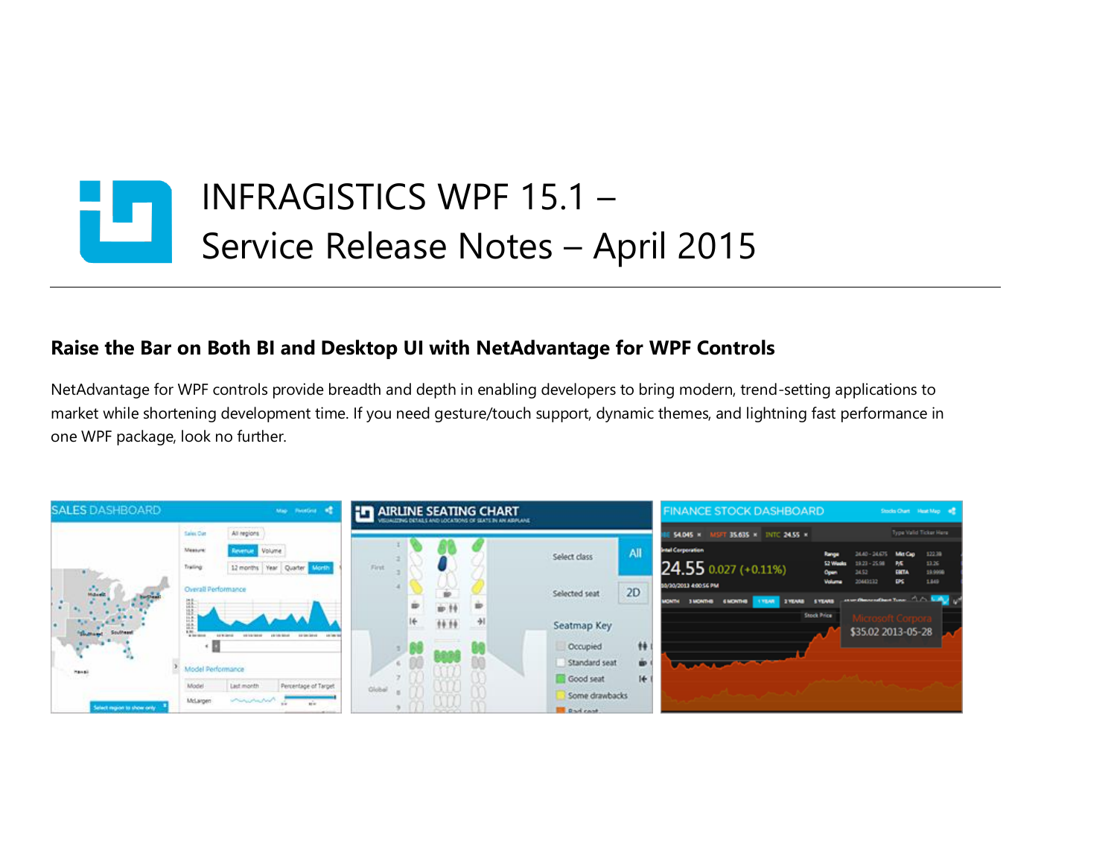

## **Raise the Bar on Both BI and Desktop UI with NetAdvantage for WPF Controls**

NetAdvantage for WPF controls provide breadth and depth in enabling developers to bring modern, trend-setting applications to market while shortening development time. If you need gesture/touch support, dynamic themes, and lightning fast performance in one WPF package, look no further.

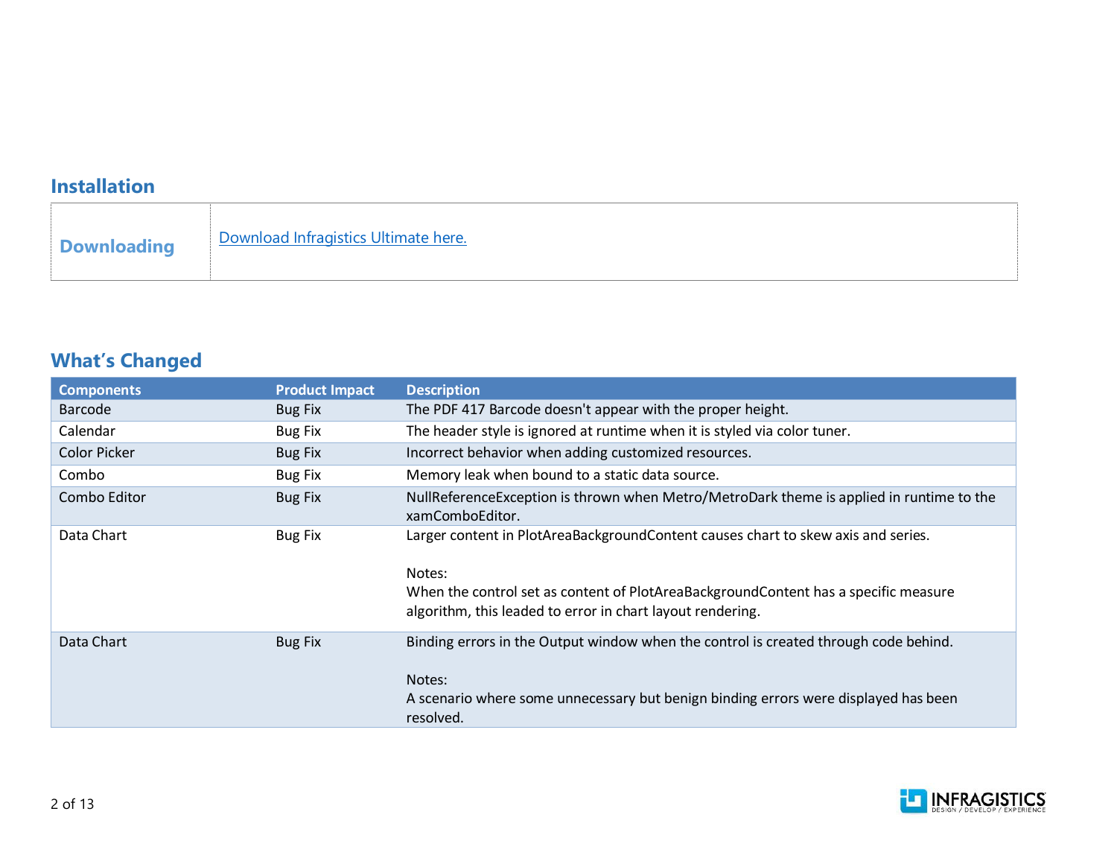## **Installation**

## **What's Changed**

| <b>Components</b>   | <b>Product Impact</b> | <b>Description</b>                                                                                                                                                                                                                               |
|---------------------|-----------------------|--------------------------------------------------------------------------------------------------------------------------------------------------------------------------------------------------------------------------------------------------|
| Barcode             | <b>Bug Fix</b>        | The PDF 417 Barcode doesn't appear with the proper height.                                                                                                                                                                                       |
| Calendar            | Bug Fix               | The header style is ignored at runtime when it is styled via color tuner.                                                                                                                                                                        |
| <b>Color Picker</b> | <b>Bug Fix</b>        | Incorrect behavior when adding customized resources.                                                                                                                                                                                             |
| Combo               | <b>Bug Fix</b>        | Memory leak when bound to a static data source.                                                                                                                                                                                                  |
| Combo Editor        | <b>Bug Fix</b>        | NullReferenceException is thrown when Metro/MetroDark theme is applied in runtime to the<br>xamComboEditor.                                                                                                                                      |
| Data Chart          | <b>Bug Fix</b>        | Larger content in PlotAreaBackgroundContent causes chart to skew axis and series.<br>Notes:<br>When the control set as content of PlotAreaBackgroundContent has a specific measure<br>algorithm, this leaded to error in chart layout rendering. |
| Data Chart          | <b>Bug Fix</b>        | Binding errors in the Output window when the control is created through code behind.<br>Notes:<br>A scenario where some unnecessary but benign binding errors were displayed has been<br>resolved.                                               |

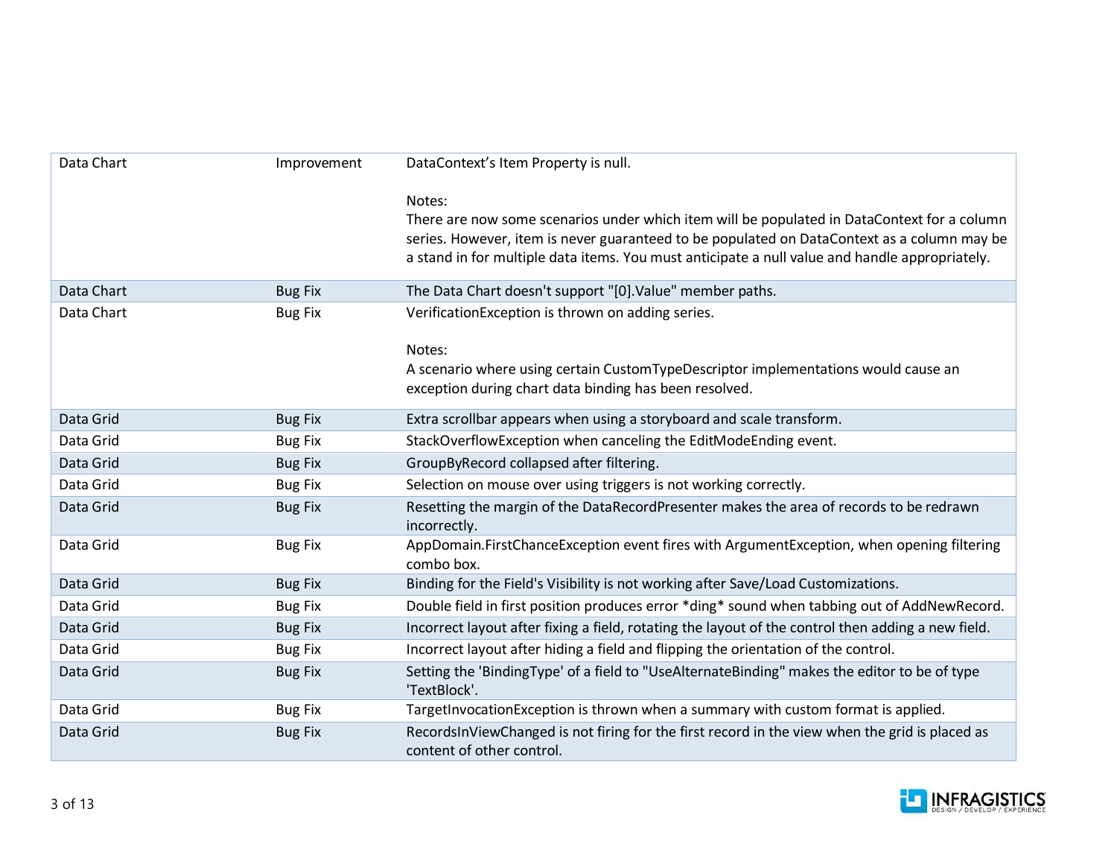| Data Chart | Improvement    | DataContext's Item Property is null.                                                                                        |
|------------|----------------|-----------------------------------------------------------------------------------------------------------------------------|
|            |                | Notes:                                                                                                                      |
|            |                | There are now some scenarios under which item will be populated in DataContext for a column                                 |
|            |                | series. However, item is never guaranteed to be populated on DataContext as a column may be                                 |
|            |                | a stand in for multiple data items. You must anticipate a null value and handle appropriately.                              |
| Data Chart | <b>Bug Fix</b> | The Data Chart doesn't support "[0]. Value" member paths.                                                                   |
| Data Chart | <b>Bug Fix</b> | VerificationException is thrown on adding series.                                                                           |
|            |                | Notes:                                                                                                                      |
|            |                | A scenario where using certain CustomTypeDescriptor implementations would cause an                                          |
|            |                | exception during chart data binding has been resolved.                                                                      |
| Data Grid  | <b>Bug Fix</b> | Extra scrollbar appears when using a storyboard and scale transform.                                                        |
| Data Grid  | <b>Bug Fix</b> | StackOverflowException when canceling the EditModeEnding event.                                                             |
| Data Grid  | <b>Bug Fix</b> | GroupByRecord collapsed after filtering.                                                                                    |
| Data Grid  | <b>Bug Fix</b> | Selection on mouse over using triggers is not working correctly.                                                            |
| Data Grid  | <b>Bug Fix</b> | Resetting the margin of the DataRecordPresenter makes the area of records to be redrawn<br>incorrectly.                     |
| Data Grid  | <b>Bug Fix</b> | AppDomain.FirstChanceException event fires with ArgumentException, when opening filtering<br>combo box.                     |
| Data Grid  | <b>Bug Fix</b> | Binding for the Field's Visibility is not working after Save/Load Customizations.                                           |
| Data Grid  | <b>Bug Fix</b> | Double field in first position produces error *ding* sound when tabbing out of AddNewRecord.                                |
| Data Grid  | <b>Bug Fix</b> | Incorrect layout after fixing a field, rotating the layout of the control then adding a new field.                          |
| Data Grid  | <b>Bug Fix</b> | Incorrect layout after hiding a field and flipping the orientation of the control.                                          |
| Data Grid  | <b>Bug Fix</b> | Setting the 'BindingType' of a field to "UseAlternateBinding" makes the editor to be of type<br>'TextBlock'.                |
| Data Grid  | <b>Bug Fix</b> | TargetInvocationException is thrown when a summary with custom format is applied.                                           |
| Data Grid  | <b>Bug Fix</b> | RecordsInViewChanged is not firing for the first record in the view when the grid is placed as<br>content of other control. |

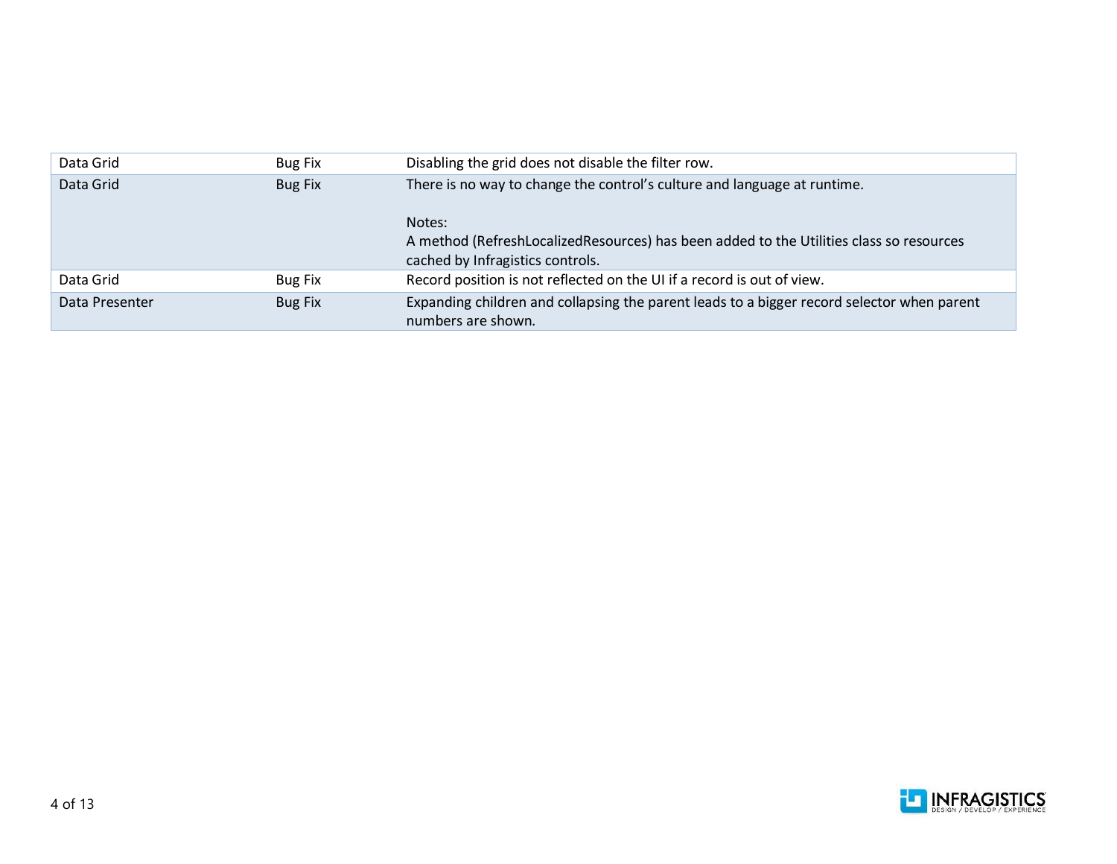| Data Grid      | <b>Bug Fix</b> | Disabling the grid does not disable the filter row.                                                                                   |
|----------------|----------------|---------------------------------------------------------------------------------------------------------------------------------------|
| Data Grid      | Bug Fix        | There is no way to change the control's culture and language at runtime.                                                              |
|                |                | Notes:<br>A method (RefreshLocalizedResources) has been added to the Utilities class so resources<br>cached by Infragistics controls. |
| Data Grid      | Bug Fix        | Record position is not reflected on the UI if a record is out of view.                                                                |
| Data Presenter | <b>Bug Fix</b> | Expanding children and collapsing the parent leads to a bigger record selector when parent<br>numbers are shown.                      |

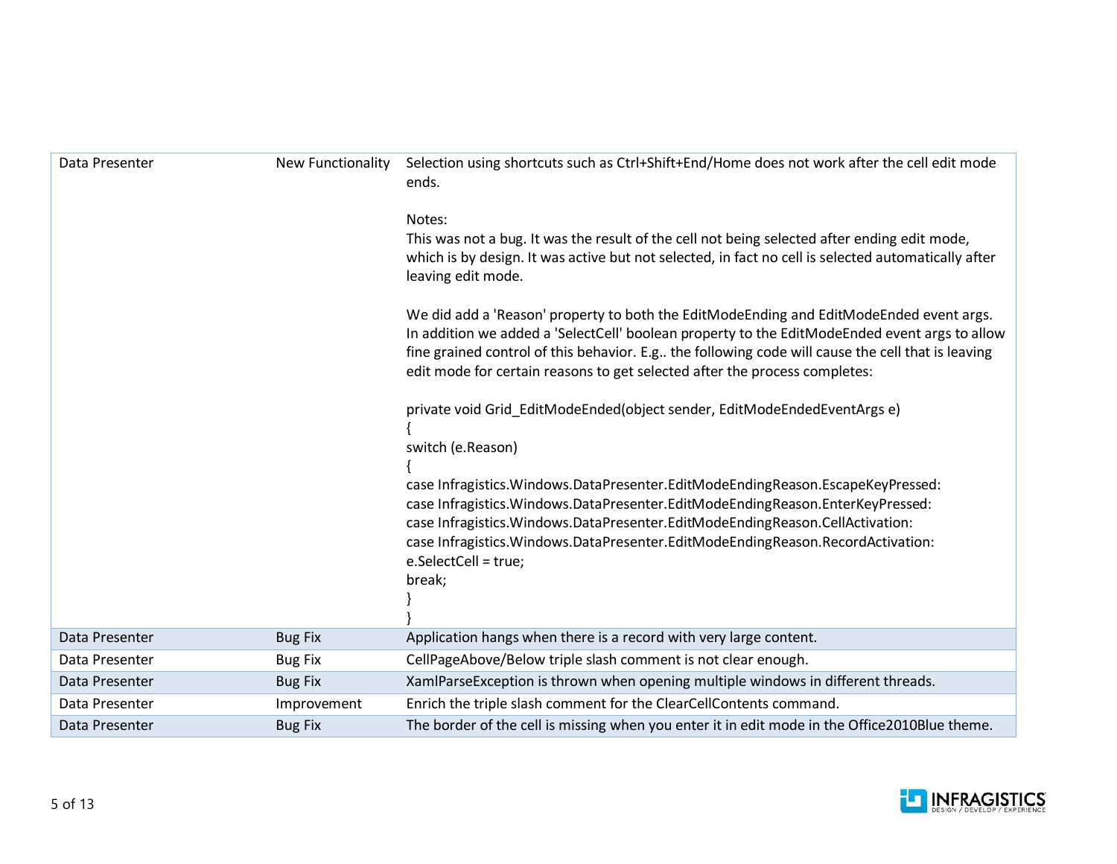| Data Presenter | <b>New Functionality</b> | Selection using shortcuts such as Ctrl+Shift+End/Home does not work after the cell edit mode<br>ends.                                                                                                                                                                                                                                                                         |
|----------------|--------------------------|-------------------------------------------------------------------------------------------------------------------------------------------------------------------------------------------------------------------------------------------------------------------------------------------------------------------------------------------------------------------------------|
|                |                          | Notes:<br>This was not a bug. It was the result of the cell not being selected after ending edit mode,<br>which is by design. It was active but not selected, in fact no cell is selected automatically after<br>leaving edit mode.                                                                                                                                           |
|                |                          | We did add a 'Reason' property to both the EditModeEnding and EditModeEnded event args.<br>In addition we added a 'SelectCell' boolean property to the EditModeEnded event args to allow<br>fine grained control of this behavior. E.g the following code will cause the cell that is leaving<br>edit mode for certain reasons to get selected after the process completes:   |
|                |                          | private void Grid_EditModeEnded(object sender, EditModeEndedEventArgs e)<br>switch (e.Reason)                                                                                                                                                                                                                                                                                 |
|                |                          | case Infragistics. Windows. DataPresenter. EditModeEndingReason. EscapeKeyPressed:<br>case Infragistics. Windows. Data Presenter. EditModeEnding Reason. Enter Key Pressed:<br>case Infragistics. Windows. DataPresenter. EditModeEndingReason. CellActivation:<br>case Infragistics. Windows. DataPresenter. EditModeEndingReason. RecordActivation:<br>e.SelectCell = true; |
|                |                          | break;                                                                                                                                                                                                                                                                                                                                                                        |
| Data Presenter | <b>Bug Fix</b>           | Application hangs when there is a record with very large content.                                                                                                                                                                                                                                                                                                             |
| Data Presenter | <b>Bug Fix</b>           | CellPageAbove/Below triple slash comment is not clear enough.                                                                                                                                                                                                                                                                                                                 |
| Data Presenter | <b>Bug Fix</b>           | XamlParseException is thrown when opening multiple windows in different threads.                                                                                                                                                                                                                                                                                              |
| Data Presenter | Improvement              | Enrich the triple slash comment for the ClearCellContents command.                                                                                                                                                                                                                                                                                                            |
| Data Presenter | <b>Bug Fix</b>           | The border of the cell is missing when you enter it in edit mode in the Office2010Blue theme.                                                                                                                                                                                                                                                                                 |

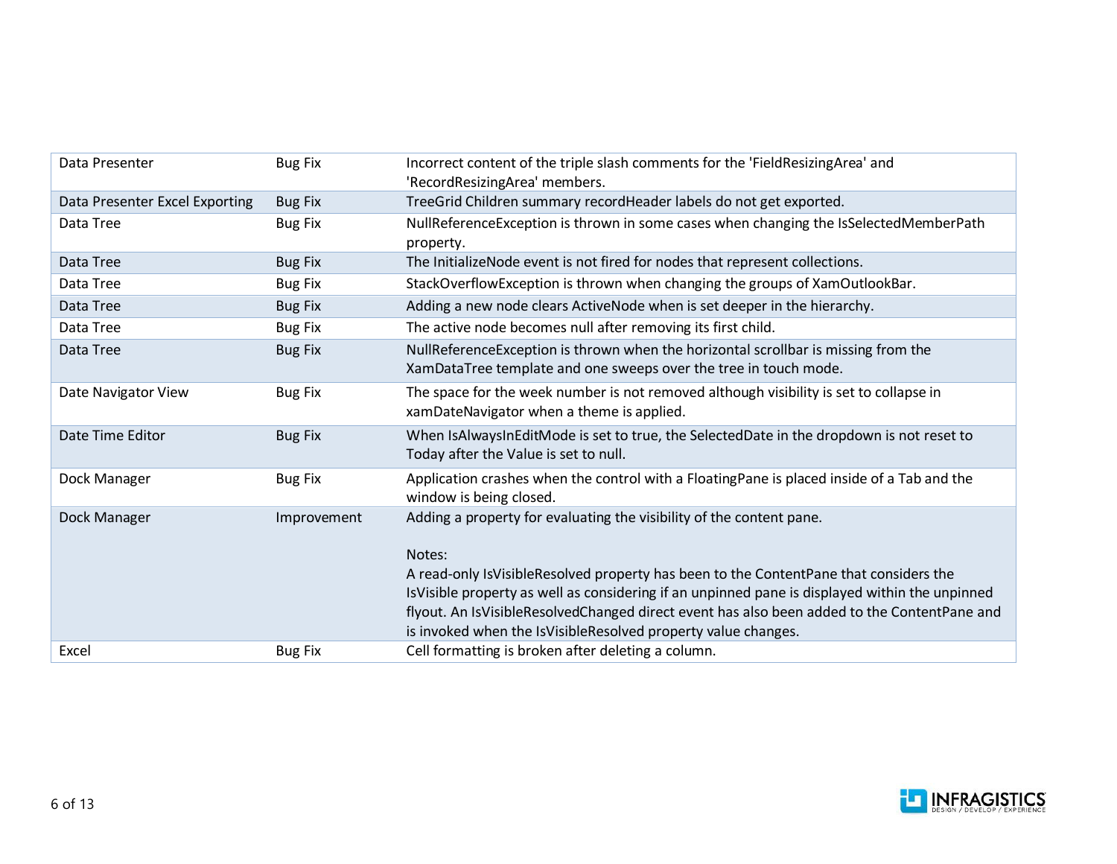| Data Presenter                 | <b>Bug Fix</b> | Incorrect content of the triple slash comments for the 'FieldResizingArea' and<br>'RecordResizingArea' members.                                                                                                                                                                                                                                                                                                                           |
|--------------------------------|----------------|-------------------------------------------------------------------------------------------------------------------------------------------------------------------------------------------------------------------------------------------------------------------------------------------------------------------------------------------------------------------------------------------------------------------------------------------|
| Data Presenter Excel Exporting | <b>Bug Fix</b> | TreeGrid Children summary recordHeader labels do not get exported.                                                                                                                                                                                                                                                                                                                                                                        |
| Data Tree                      | <b>Bug Fix</b> | NullReferenceException is thrown in some cases when changing the IsSelectedMemberPath<br>property.                                                                                                                                                                                                                                                                                                                                        |
| Data Tree                      | <b>Bug Fix</b> | The InitializeNode event is not fired for nodes that represent collections.                                                                                                                                                                                                                                                                                                                                                               |
| Data Tree                      | <b>Bug Fix</b> | StackOverflowException is thrown when changing the groups of XamOutlookBar.                                                                                                                                                                                                                                                                                                                                                               |
| Data Tree                      | <b>Bug Fix</b> | Adding a new node clears ActiveNode when is set deeper in the hierarchy.                                                                                                                                                                                                                                                                                                                                                                  |
| Data Tree                      | <b>Bug Fix</b> | The active node becomes null after removing its first child.                                                                                                                                                                                                                                                                                                                                                                              |
| Data Tree                      | <b>Bug Fix</b> | NullReferenceException is thrown when the horizontal scrollbar is missing from the<br>XamDataTree template and one sweeps over the tree in touch mode.                                                                                                                                                                                                                                                                                    |
| Date Navigator View            | <b>Bug Fix</b> | The space for the week number is not removed although visibility is set to collapse in<br>xamDateNavigator when a theme is applied.                                                                                                                                                                                                                                                                                                       |
| Date Time Editor               | <b>Bug Fix</b> | When IsAlwaysInEditMode is set to true, the SelectedDate in the dropdown is not reset to<br>Today after the Value is set to null.                                                                                                                                                                                                                                                                                                         |
| Dock Manager                   | <b>Bug Fix</b> | Application crashes when the control with a FloatingPane is placed inside of a Tab and the<br>window is being closed.                                                                                                                                                                                                                                                                                                                     |
| Dock Manager                   | Improvement    | Adding a property for evaluating the visibility of the content pane.<br>Notes:<br>A read-only IsVisibleResolved property has been to the ContentPane that considers the<br>IsVisible property as well as considering if an unpinned pane is displayed within the unpinned<br>flyout. An IsVisibleResolvedChanged direct event has also been added to the ContentPane and<br>is invoked when the IsVisibleResolved property value changes. |
| Excel                          | <b>Bug Fix</b> | Cell formatting is broken after deleting a column.                                                                                                                                                                                                                                                                                                                                                                                        |

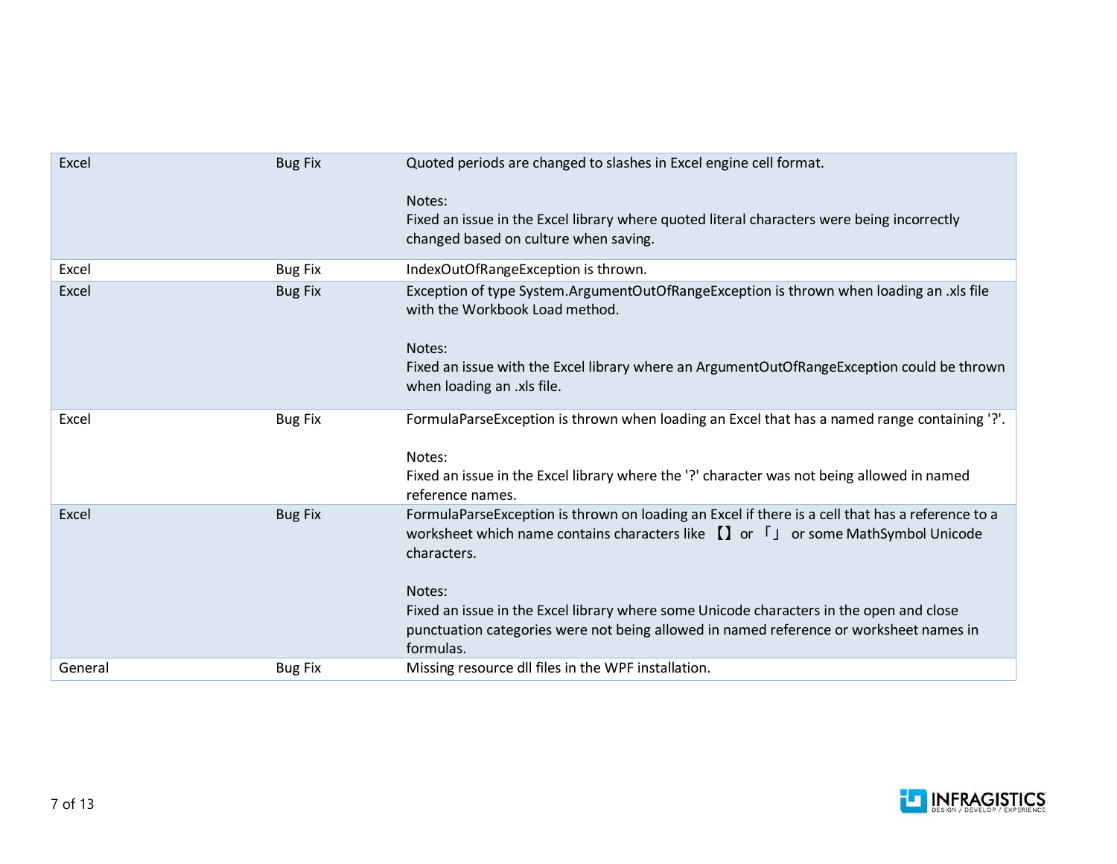| Excel   | <b>Bug Fix</b> | Quoted periods are changed to slashes in Excel engine cell format.                                                                                                                                                                                               |
|---------|----------------|------------------------------------------------------------------------------------------------------------------------------------------------------------------------------------------------------------------------------------------------------------------|
|         |                | Notes:<br>Fixed an issue in the Excel library where quoted literal characters were being incorrectly<br>changed based on culture when saving.                                                                                                                    |
| Excel   | <b>Bug Fix</b> | IndexOutOfRangeException is thrown.                                                                                                                                                                                                                              |
| Excel   | <b>Bug Fix</b> | Exception of type System.ArgumentOutOfRangeException is thrown when loading an .xls file<br>with the Workbook Load method.<br>Notes:<br>Fixed an issue with the Excel library where an ArgumentOutOfRangeException could be thrown<br>when loading an .xls file. |
| Excel   | <b>Bug Fix</b> | FormulaParseException is thrown when loading an Excel that has a named range containing '?'.                                                                                                                                                                     |
|         |                | Notes:<br>Fixed an issue in the Excel library where the '?' character was not being allowed in named<br>reference names.                                                                                                                                         |
| Excel   | <b>Bug Fix</b> | FormulaParseException is thrown on loading an Excel if there is a cell that has a reference to a<br>worksheet which name contains characters like $\prod$ or $\int$ or some MathSymbol Unicode<br>characters.<br>Notes:                                          |
|         |                | Fixed an issue in the Excel library where some Unicode characters in the open and close<br>punctuation categories were not being allowed in named reference or worksheet names in<br>formulas.                                                                   |
| General | <b>Bug Fix</b> | Missing resource dll files in the WPF installation.                                                                                                                                                                                                              |

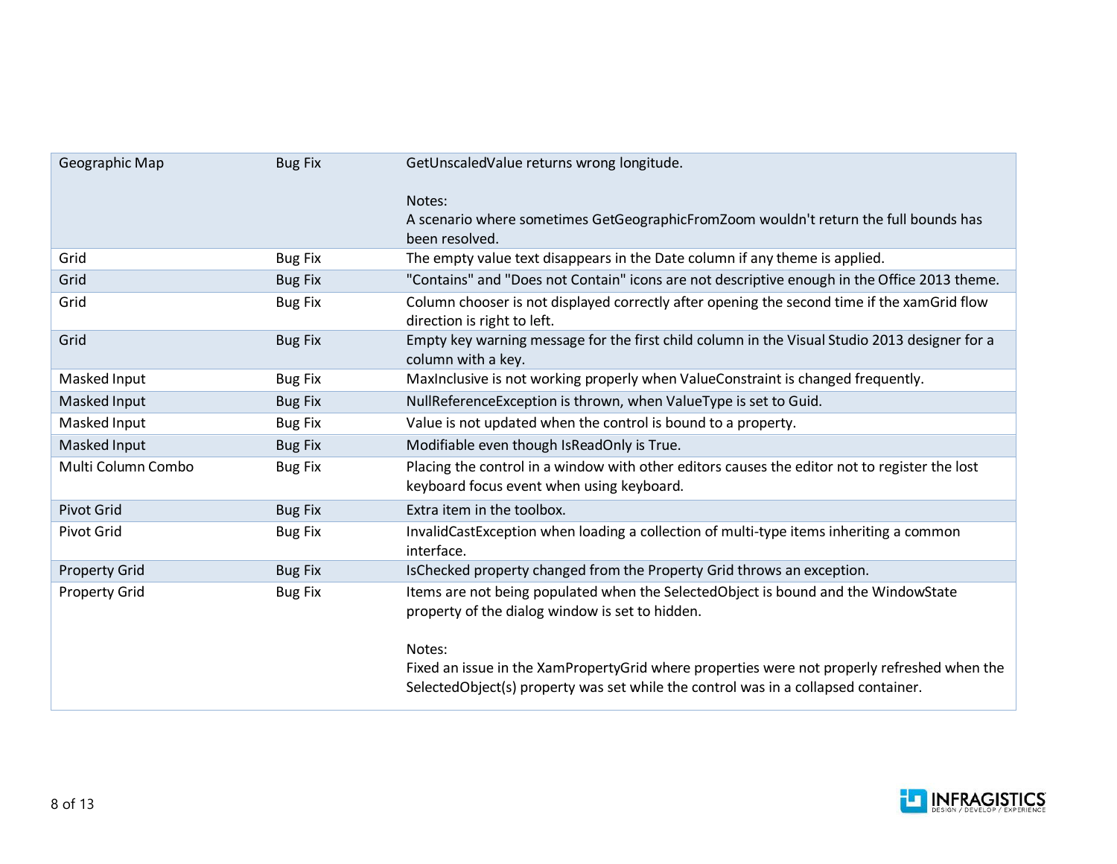| Geographic Map       | <b>Bug Fix</b> | GetUnscaledValue returns wrong longitude.                                                                                                                                                   |
|----------------------|----------------|---------------------------------------------------------------------------------------------------------------------------------------------------------------------------------------------|
|                      |                | Notes:                                                                                                                                                                                      |
|                      |                | A scenario where sometimes GetGeographicFromZoom wouldn't return the full bounds has<br>been resolved.                                                                                      |
| Grid                 | <b>Bug Fix</b> | The empty value text disappears in the Date column if any theme is applied.                                                                                                                 |
| Grid                 | <b>Bug Fix</b> | "Contains" and "Does not Contain" icons are not descriptive enough in the Office 2013 theme.                                                                                                |
| Grid                 | <b>Bug Fix</b> | Column chooser is not displayed correctly after opening the second time if the xamGrid flow<br>direction is right to left.                                                                  |
| Grid                 | <b>Bug Fix</b> | Empty key warning message for the first child column in the Visual Studio 2013 designer for a<br>column with a key.                                                                         |
| Masked Input         | <b>Bug Fix</b> | MaxInclusive is not working properly when ValueConstraint is changed frequently.                                                                                                            |
| Masked Input         | <b>Bug Fix</b> | NullReferenceException is thrown, when ValueType is set to Guid.                                                                                                                            |
| Masked Input         | <b>Bug Fix</b> | Value is not updated when the control is bound to a property.                                                                                                                               |
| Masked Input         | <b>Bug Fix</b> | Modifiable even though IsReadOnly is True.                                                                                                                                                  |
| Multi Column Combo   | <b>Bug Fix</b> | Placing the control in a window with other editors causes the editor not to register the lost<br>keyboard focus event when using keyboard.                                                  |
| Pivot Grid           | <b>Bug Fix</b> | Extra item in the toolbox.                                                                                                                                                                  |
| <b>Pivot Grid</b>    | <b>Bug Fix</b> | InvalidCastException when loading a collection of multi-type items inheriting a common<br>interface.                                                                                        |
| <b>Property Grid</b> | <b>Bug Fix</b> | IsChecked property changed from the Property Grid throws an exception.                                                                                                                      |
| <b>Property Grid</b> | <b>Bug Fix</b> | Items are not being populated when the SelectedObject is bound and the WindowState<br>property of the dialog window is set to hidden.                                                       |
|                      |                | Notes:<br>Fixed an issue in the XamPropertyGrid where properties were not properly refreshed when the<br>SelectedObject(s) property was set while the control was in a collapsed container. |

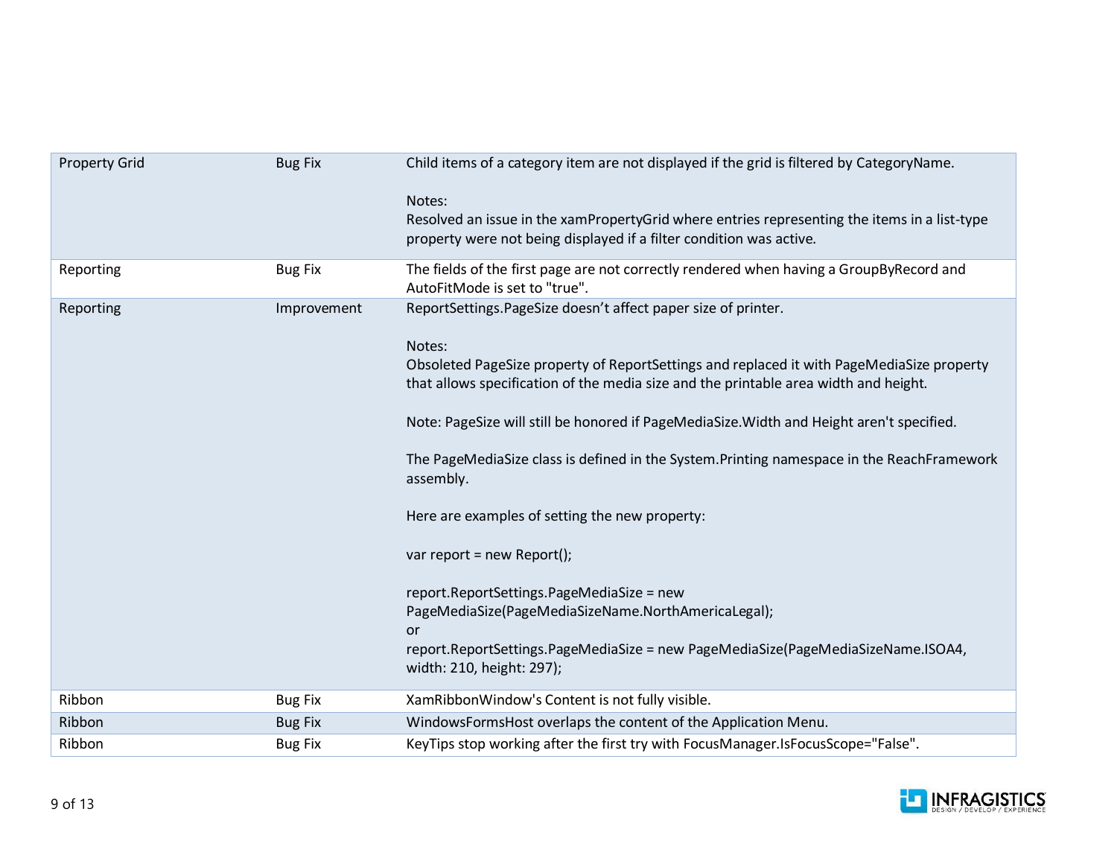| <b>Property Grid</b> | <b>Bug Fix</b> | Child items of a category item are not displayed if the grid is filtered by CategoryName.                                                                                                                                                                                                                                                                                                                                                                            |
|----------------------|----------------|----------------------------------------------------------------------------------------------------------------------------------------------------------------------------------------------------------------------------------------------------------------------------------------------------------------------------------------------------------------------------------------------------------------------------------------------------------------------|
|                      |                | Notes:<br>Resolved an issue in the xamPropertyGrid where entries representing the items in a list-type<br>property were not being displayed if a filter condition was active.                                                                                                                                                                                                                                                                                        |
| Reporting            | <b>Bug Fix</b> | The fields of the first page are not correctly rendered when having a GroupByRecord and<br>AutoFitMode is set to "true".                                                                                                                                                                                                                                                                                                                                             |
| Reporting            | Improvement    | ReportSettings.PageSize doesn't affect paper size of printer.<br>Notes:<br>Obsoleted PageSize property of ReportSettings and replaced it with PageMediaSize property<br>that allows specification of the media size and the printable area width and height.<br>Note: PageSize will still be honored if PageMediaSize. Width and Height aren't specified.<br>The PageMediaSize class is defined in the System. Printing namespace in the ReachFramework<br>assembly. |
|                      |                | Here are examples of setting the new property:<br>var report = new Report();<br>report.ReportSettings.PageMediaSize = new<br>PageMediaSize(PageMediaSizeName.NorthAmericaLegal);<br><b>or</b><br>report.ReportSettings.PageMediaSize = new PageMediaSize(PageMediaSizeName.ISOA4,<br>width: 210, height: 297);                                                                                                                                                       |
| Ribbon               | <b>Bug Fix</b> | XamRibbonWindow's Content is not fully visible.                                                                                                                                                                                                                                                                                                                                                                                                                      |
| Ribbon               | <b>Bug Fix</b> | WindowsFormsHost overlaps the content of the Application Menu.                                                                                                                                                                                                                                                                                                                                                                                                       |
| Ribbon               | <b>Bug Fix</b> | KeyTips stop working after the first try with FocusManager.IsFocusScope="False".                                                                                                                                                                                                                                                                                                                                                                                     |

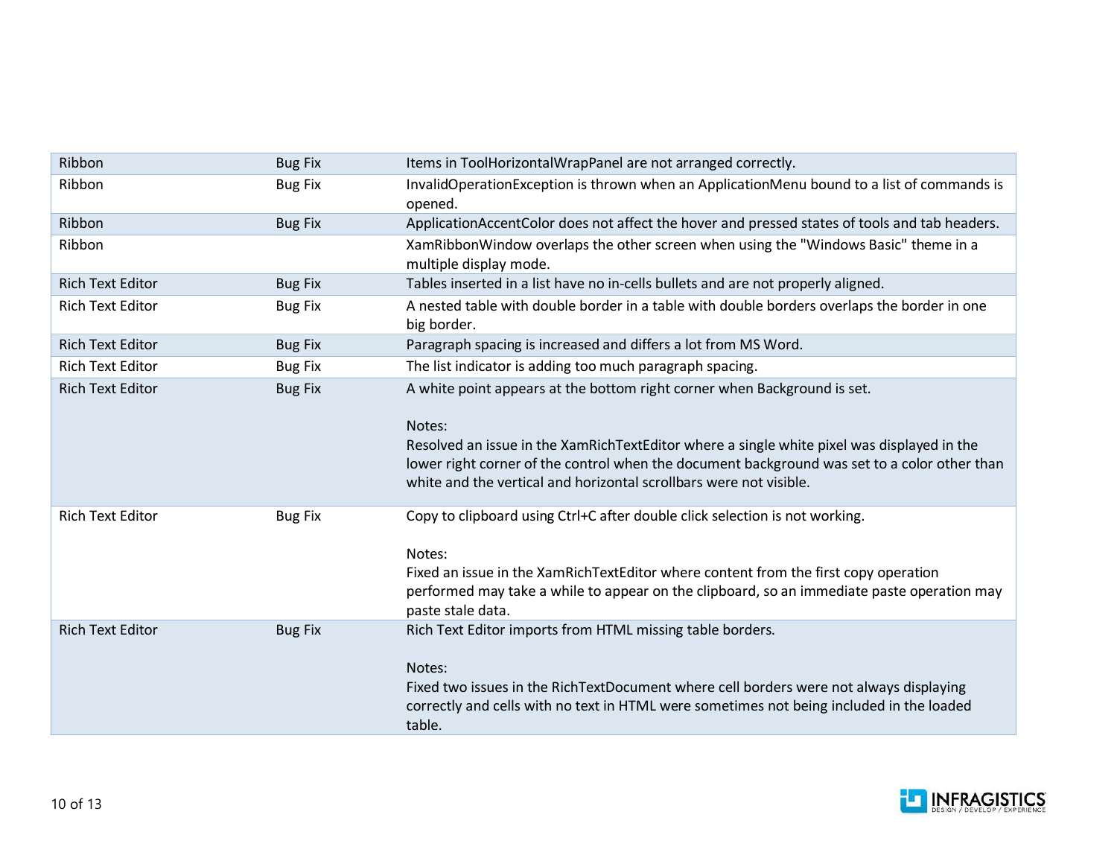| Ribbon                  | <b>Bug Fix</b> | Items in ToolHorizontalWrapPanel are not arranged correctly.                                                                                                                                                                                                                                                                                           |
|-------------------------|----------------|--------------------------------------------------------------------------------------------------------------------------------------------------------------------------------------------------------------------------------------------------------------------------------------------------------------------------------------------------------|
| Ribbon                  | <b>Bug Fix</b> | InvalidOperationException is thrown when an ApplicationMenu bound to a list of commands is<br>opened.                                                                                                                                                                                                                                                  |
| Ribbon                  | <b>Bug Fix</b> | ApplicationAccentColor does not affect the hover and pressed states of tools and tab headers.                                                                                                                                                                                                                                                          |
| Ribbon                  |                | XamRibbonWindow overlaps the other screen when using the "Windows Basic" theme in a<br>multiple display mode.                                                                                                                                                                                                                                          |
| <b>Rich Text Editor</b> | <b>Bug Fix</b> | Tables inserted in a list have no in-cells bullets and are not properly aligned.                                                                                                                                                                                                                                                                       |
| <b>Rich Text Editor</b> | <b>Bug Fix</b> | A nested table with double border in a table with double borders overlaps the border in one<br>big border.                                                                                                                                                                                                                                             |
| <b>Rich Text Editor</b> | <b>Bug Fix</b> | Paragraph spacing is increased and differs a lot from MS Word.                                                                                                                                                                                                                                                                                         |
| <b>Rich Text Editor</b> | <b>Bug Fix</b> | The list indicator is adding too much paragraph spacing.                                                                                                                                                                                                                                                                                               |
| <b>Rich Text Editor</b> | <b>Bug Fix</b> | A white point appears at the bottom right corner when Background is set.<br>Notes:<br>Resolved an issue in the XamRichTextEditor where a single white pixel was displayed in the<br>lower right corner of the control when the document background was set to a color other than<br>white and the vertical and horizontal scrollbars were not visible. |
| <b>Rich Text Editor</b> | <b>Bug Fix</b> | Copy to clipboard using Ctrl+C after double click selection is not working.<br>Notes:<br>Fixed an issue in the XamRichTextEditor where content from the first copy operation<br>performed may take a while to appear on the clipboard, so an immediate paste operation may<br>paste stale data.                                                        |
| <b>Rich Text Editor</b> | <b>Bug Fix</b> | Rich Text Editor imports from HTML missing table borders.<br>Notes:<br>Fixed two issues in the RichTextDocument where cell borders were not always displaying<br>correctly and cells with no text in HTML were sometimes not being included in the loaded<br>table.                                                                                    |

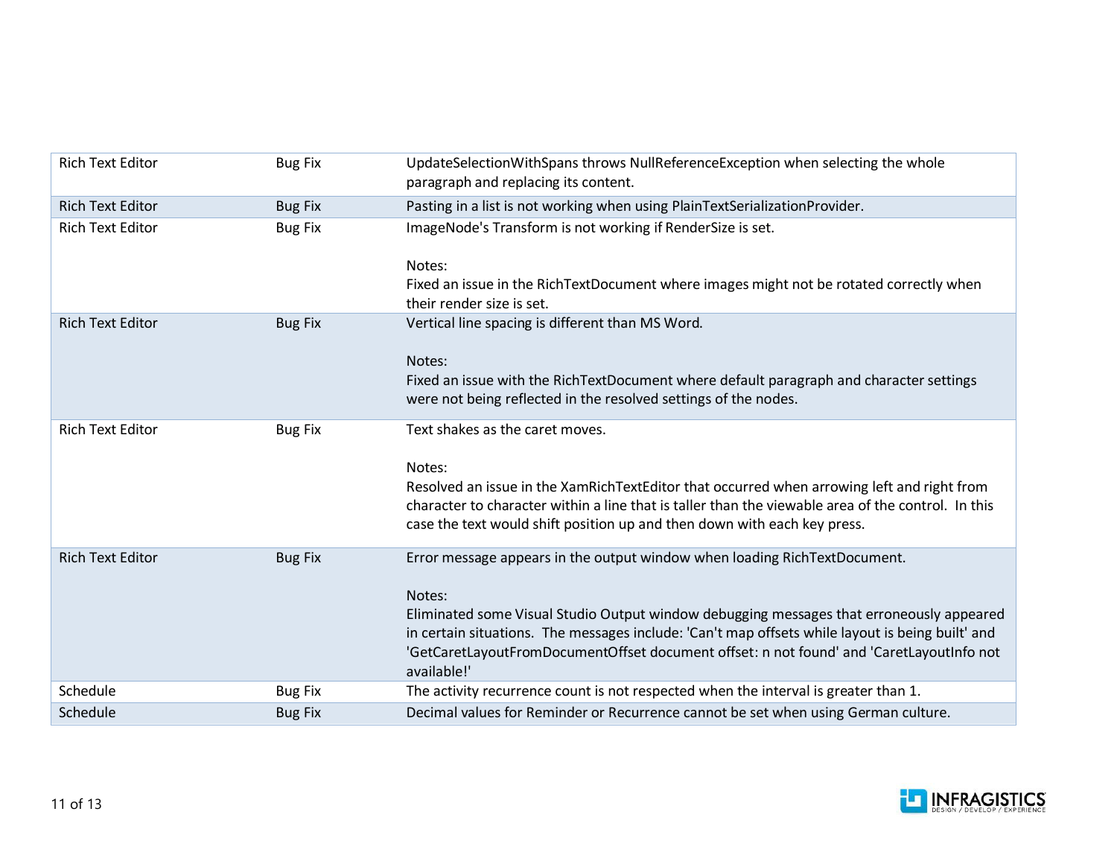| <b>Rich Text Editor</b> | <b>Bug Fix</b> | UpdateSelectionWithSpans throws NullReferenceException when selecting the whole<br>paragraph and replacing its content.                                                                                                                                                                                                                                                                        |
|-------------------------|----------------|------------------------------------------------------------------------------------------------------------------------------------------------------------------------------------------------------------------------------------------------------------------------------------------------------------------------------------------------------------------------------------------------|
| Rich Text Editor        | <b>Bug Fix</b> | Pasting in a list is not working when using PlainTextSerializationProvider.                                                                                                                                                                                                                                                                                                                    |
| <b>Rich Text Editor</b> | <b>Bug Fix</b> | ImageNode's Transform is not working if RenderSize is set.<br>Notes:<br>Fixed an issue in the RichTextDocument where images might not be rotated correctly when<br>their render size is set.                                                                                                                                                                                                   |
| <b>Rich Text Editor</b> | <b>Bug Fix</b> | Vertical line spacing is different than MS Word.<br>Notes:<br>Fixed an issue with the RichTextDocument where default paragraph and character settings<br>were not being reflected in the resolved settings of the nodes.                                                                                                                                                                       |
| <b>Rich Text Editor</b> | <b>Bug Fix</b> | Text shakes as the caret moves.<br>Notes:<br>Resolved an issue in the XamRichTextEditor that occurred when arrowing left and right from<br>character to character within a line that is taller than the viewable area of the control. In this<br>case the text would shift position up and then down with each key press.                                                                      |
| <b>Rich Text Editor</b> | <b>Bug Fix</b> | Error message appears in the output window when loading RichTextDocument.<br>Notes:<br>Eliminated some Visual Studio Output window debugging messages that erroneously appeared<br>in certain situations. The messages include: 'Can't map offsets while layout is being built' and<br>'GetCaretLayoutFromDocumentOffset document offset: n not found' and 'CaretLayoutInfo not<br>available!' |
| Schedule                | <b>Bug Fix</b> | The activity recurrence count is not respected when the interval is greater than 1.                                                                                                                                                                                                                                                                                                            |
| Schedule                | <b>Bug Fix</b> | Decimal values for Reminder or Recurrence cannot be set when using German culture.                                                                                                                                                                                                                                                                                                             |

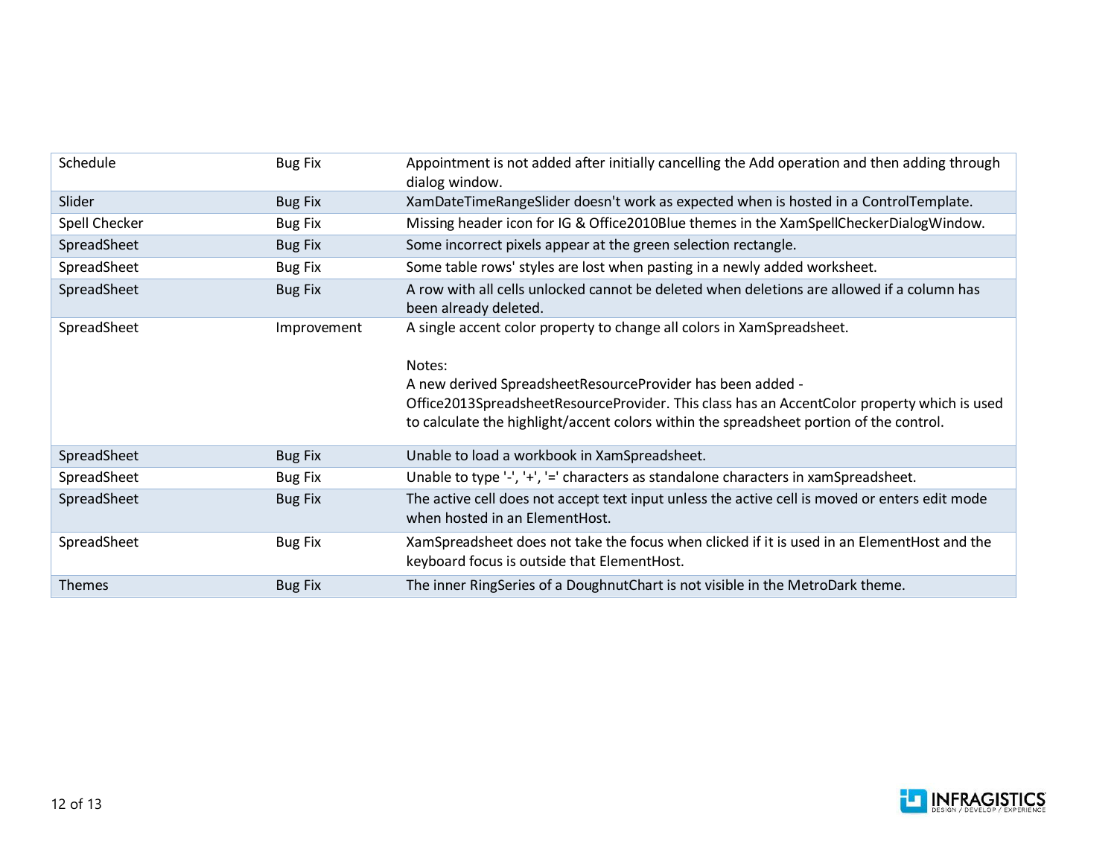| Schedule      | <b>Bug Fix</b> | Appointment is not added after initially cancelling the Add operation and then adding through<br>dialog window.                                                                                                                                                                                                                          |
|---------------|----------------|------------------------------------------------------------------------------------------------------------------------------------------------------------------------------------------------------------------------------------------------------------------------------------------------------------------------------------------|
| Slider        | <b>Bug Fix</b> | XamDateTimeRangeSlider doesn't work as expected when is hosted in a ControlTemplate.                                                                                                                                                                                                                                                     |
| Spell Checker | <b>Bug Fix</b> | Missing header icon for IG & Office2010Blue themes in the XamSpellCheckerDialogWindow.                                                                                                                                                                                                                                                   |
| SpreadSheet   | <b>Bug Fix</b> | Some incorrect pixels appear at the green selection rectangle.                                                                                                                                                                                                                                                                           |
| SpreadSheet   | <b>Bug Fix</b> | Some table rows' styles are lost when pasting in a newly added worksheet.                                                                                                                                                                                                                                                                |
| SpreadSheet   | <b>Bug Fix</b> | A row with all cells unlocked cannot be deleted when deletions are allowed if a column has<br>been already deleted.                                                                                                                                                                                                                      |
| SpreadSheet   | Improvement    | A single accent color property to change all colors in XamSpreadsheet.<br>Notes:<br>A new derived SpreadsheetResourceProvider has been added -<br>Office2013SpreadsheetResourceProvider. This class has an AccentColor property which is used<br>to calculate the highlight/accent colors within the spreadsheet portion of the control. |
| SpreadSheet   | <b>Bug Fix</b> | Unable to load a workbook in XamSpreadsheet.                                                                                                                                                                                                                                                                                             |
| SpreadSheet   | <b>Bug Fix</b> | Unable to type '-', '+', '=' characters as standalone characters in xamSpreadsheet.                                                                                                                                                                                                                                                      |
| SpreadSheet   | <b>Bug Fix</b> | The active cell does not accept text input unless the active cell is moved or enters edit mode<br>when hosted in an ElementHost.                                                                                                                                                                                                         |
| SpreadSheet   | <b>Bug Fix</b> | XamSpreadsheet does not take the focus when clicked if it is used in an ElementHost and the<br>keyboard focus is outside that ElementHost.                                                                                                                                                                                               |
| <b>Themes</b> | <b>Bug Fix</b> | The inner RingSeries of a DoughnutChart is not visible in the MetroDark theme.                                                                                                                                                                                                                                                           |